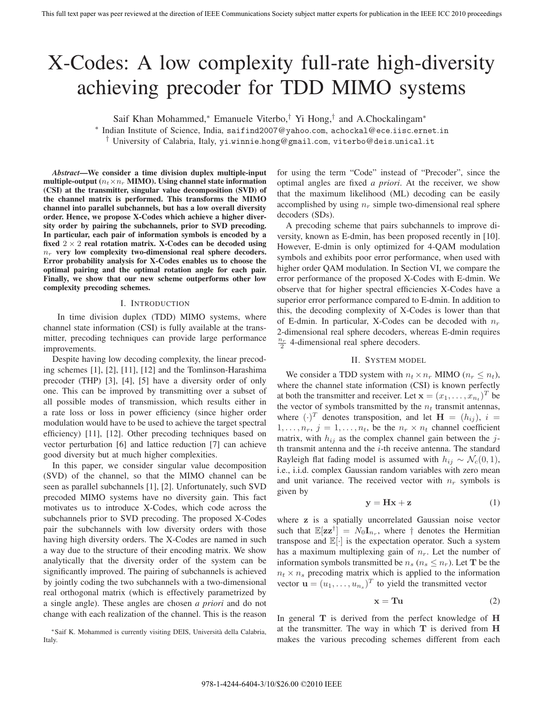# X-Codes: A low complexity full-rate high-diversity achieving precoder for TDD MIMO systems

Saif Khan Mohammed,<sup>∗</sup> Emanuele Viterbo,<sup>†</sup> Yi Hong,<sup>†</sup> and A.Chockalingam<sup>∗</sup>

∗ Indian Institute of Science, India, saifind2007@yahoo.com, achockal@ece.iisc.ernet.in

† University of Calabria, Italy, yi.winnie.hong@gmail.com, viterbo@deis.unical.it

*Abstract***—We consider a time division duplex multiple-input multiple-output** ( $n_t \times n_r$  **MIMO).** Using channel state information **(CSI) at the transmitter, singular value decomposition (SVD) of the channel matrix is performed. This transforms the MIMO channel into parallel subchannels, but has a low overall diversity order. Hence, we propose X-Codes which achieve a higher diversity order by pairing the subchannels, prior to SVD precoding. In particular, each pair of information symbols is encoded by a** fixed  $2 \times 2$  real rotation matrix. X-Codes can be decoded using *<sup>n</sup>r* **very low complexity two-dimensional real sphere decoders. Error probability analysis for X-Codes enables us to choose the optimal pairing and the optimal rotation angle for each pair. Finally, we show that our new scheme outperforms other low complexity precoding schemes.**

## I. INTRODUCTION

In time division duplex (TDD) MIMO systems, where channel state information (CSI) is fully available at the transmitter, precoding techniques can provide large performance improvements.

Despite having low decoding complexity, the linear precoding schemes [1], [2], [11], [12] and the Tomlinson-Harashima precoder (THP) [3], [4], [5] have a diversity order of only one. This can be improved by transmitting over a subset of all possible modes of transmission, which results either in a rate loss or loss in power efficiency (since higher order modulation would have to be used to achieve the target spectral efficiency) [11], [12]. Other precoding techniques based on vector perturbation [6] and lattice reduction [7] can achieve good diversity but at much higher complexities.

In this paper, we consider singular value decomposition (SVD) of the channel, so that the MIMO channel can be seen as parallel subchannels [1], [2]. Unfortunately, such SVD precoded MIMO systems have no diversity gain. This fact motivates us to introduce X-Codes, which code across the subchannels prior to SVD precoding. The proposed X-Codes pair the subchannels with low diversity orders with those having high diversity orders. The X-Codes are named in such a way due to the structure of their encoding matrix. We show analytically that the diversity order of the system can be significantly improved. The pairing of subchannels is achieved by jointly coding the two subchannels with a two-dimensional real orthogonal matrix (which is effectively parametrized by a single angle). These angles are chosen *a priori* and do not change with each realization of the channel. This is the reason

∗Saif K. Mohammed is currently visiting DEIS, Universita della Calabria, ` Italy.

for using the term "Code" instead of "Precoder", since the optimal angles are fixed *a priori*. At the receiver, we show that the maximum likelihood (ML) decoding can be easily accomplished by using  $n_r$  simple two-dimensional real sphere decoders (SDs).

A precoding scheme that pairs subchannels to improve diversity, known as E-dmin, has been proposed recently in [10]. However, E-dmin is only optimized for 4-QAM modulation symbols and exhibits poor error performance, when used with higher order QAM modulation. In Section VI, we compare the error performance of the proposed X-Codes with E-dmin. We observe that for higher spectral efficiencies X-Codes have a superior error performance compared to E-dmin. In addition to this, the decoding complexity of X-Codes is lower than that of E-dmin. In particular, X-Codes can be decoded with  $n_r$ 2-dimensional real sphere decoders, whereas E-dmin requires  $\frac{n_r}{2}$  4-dimensional real sphere decoders.

## II. SYSTEM MODEL

We consider a TDD system with  $n_t \times n_r$  MIMO ( $n_r \leq n_t$ ), where the channel state information (CSI) is known perfectly at both the transmitter and receiver. Let  $\mathbf{x} = (x_1, \ldots, x_{n_t})^T$  be the vector of symbols transmitted by the  $n_t$  transmit antennas, where  $(\cdot)^T$  denotes transposition, and let  $\mathbf{H} = (h_{ij}), i =$  $1,\ldots,n_r, j = 1,\ldots,n_t$ , be the  $n_r \times n_t$  channel coefficient matrix, with  $h_{ij}$  as the complex channel gain between the jth transmit antenna and the  $i$ -th receive antenna. The standard Rayleigh flat fading model is assumed with  $h_{ij} \sim \mathcal{N}_c(0, 1)$ , i.e., i.i.d. complex Gaussian random variables with zero mean and unit variance. The received vector with  $n_r$  symbols is given by

$$
y = Hx + z \tag{1}
$$

where **z** is a spatially uncorrelated Gaussian noise vector such that  $\mathbb{E}[\mathbf{z}\mathbf{z}^{\dagger}] = N_0 \mathbf{I}_{n_r}$ , where  $\dagger$  denotes the Hermitian transpose and  $\mathbb{E}[\cdot]$  is the expectation operator. Such a system has a maximum multiplexing gain of  $n_r$ . Let the number of information symbols transmitted be  $n_s$  ( $n_s \leq n_r$ ). Let **T** be the  $n_t \times n_s$  precoding matrix which is applied to the information vector  $\mathbf{u} = (u_1, \dots, u_{n_s})^T$  to yield the transmitted vector

$$
x = Tu
$$
 (2)

In general **T** is derived from the perfect knowledge of **H** at the transmitter. The way in which **T** is derived from **H** makes the various precoding schemes different from each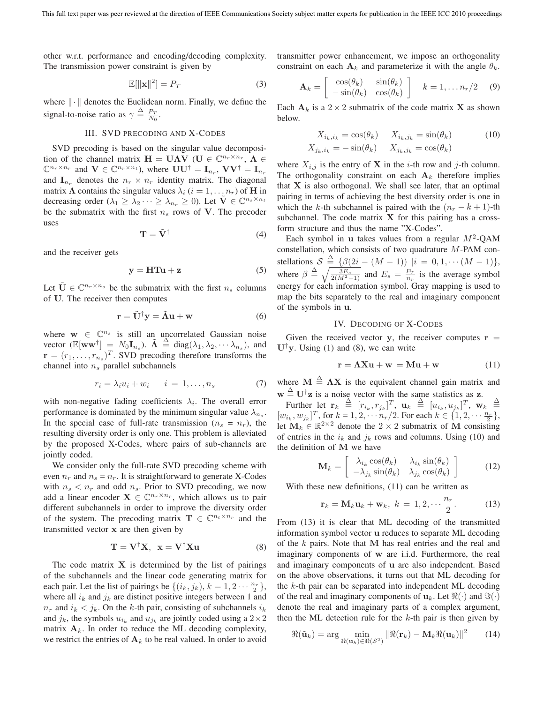other w.r.t. performance and encoding/decoding complexity. The transmission power constraint is given by

$$
\mathbb{E}[\|\mathbf{x}\|^2] = P_T \tag{3}
$$

where  $\|\cdot\|$  denotes the Euclidean norm. Finally, we define the signal-to-noise ratio as  $\gamma \triangleq \frac{P_T}{N_0}$ .

# III. SVD PRECODING AND X-CODES

SVD precoding is based on the singular value decomposition of the channel matrix  $\mathbf{H} = \mathbf{U}\boldsymbol{\Lambda}\mathbf{V}$  ( $\mathbf{U} \in \mathbb{C}^{n_r \times n_r}$ ,  $\boldsymbol{\Lambda} \in$  $\mathbb{C}^{n_r \times n_r}$  and  $\mathbf{V} \in \mathbb{C}^{n_r \times n_t}$ ), where  $\mathbf{U} \mathbf{U}^{\dagger} = \mathbf{I}_{n_r}$ ,  $\mathbf{V} \mathbf{V}^{\dagger} = \mathbf{I}_{n_r}$ and  $\mathbf{I}_{n_r}$  denotes the  $n_r \times n_r$  identity matrix. The diagonal matrix  $\Lambda$  contains the singular values  $\lambda_i$  ( $i = 1, \ldots n_r$ ) of **H** in decreasing order  $(\lambda_1 \geq \lambda_2 \cdots \geq \lambda_{n_r} \geq 0)$ . Let  $\mathbf{V} \in \mathbb{C}^{n_s \times n_t}$ be the submatrix with the first  $n_s$  rows of  $V$ . The precoder uses

$$
\mathbf{T} = \tilde{\mathbf{V}}^{\dagger} \tag{4}
$$

and the receiver gets

$$
y = HTu + z \tag{5}
$$

Let  $\tilde{\mathbf{U}} \in \mathbb{C}^{n_r \times n_s}$  be the submatrix with the first  $n_s$  columns of **U**. The receiver then computes

$$
\mathbf{r} = \tilde{\mathbf{U}}^{\dagger} \mathbf{y} = \tilde{\mathbf{\Lambda}} \mathbf{u} + \mathbf{w} \tag{6}
$$

where  $\mathbf{w} \in \mathbb{C}^{n_s}$  is still an uncorrelated Gaussian noise vector  $(\mathbb{E}[\mathbf{w}\mathbf{w}^{\dagger}] = N_0\mathbf{I}_{n_s})$ .  $\tilde{\mathbf{\Lambda}} \stackrel{\Delta}{=} \text{diag}(\lambda_1, \lambda_2, \dots, \lambda_{n_s})$ , and  $\mathbf{r} = (r_s, r_s)$ . SVD precoding therefore transforms the  $\mathbf{r} = (r_1, \ldots, r_{n_s})^T$ . SVD precoding therefore transforms the channel into  $n_s$  parallel subchannels

$$
r_i = \lambda_i u_i + w_i \qquad i = 1, \dots, n_s \tag{7}
$$

with non-negative fading coefficients  $\lambda_i$ . The overall error performance is dominated by the minimum singular value  $\lambda_{n_{s}}$ . In the special case of full-rate transmission  $(n_s = n_r)$ , the resulting diversity order is only one. This problem is alleviated by the proposed X-Codes, where pairs of sub-channels are jointly coded.

We consider only the full-rate SVD precoding scheme with even  $n_r$  and  $n_s = n_r$ . It is straightforward to generate X-Codes with  $n_s < n_r$  and odd  $n_s$ . Prior to SVD precoding, we now add a linear encoder  $X \in \mathbb{C}^{n_r \times n_r}$ , which allows us to pair different subchannels in order to improve the diversity order of the system. The precoding matrix  $\mathbf{T} \in \mathbb{C}^{n_t \times n_r}$  and the transmitted vector **x** are then given by

$$
\mathbf{T} = \mathbf{V}^{\dagger} \mathbf{X}, \ \mathbf{x} = \mathbf{V}^{\dagger} \mathbf{X} \mathbf{u}
$$
 (8)

The code matrix  $X$  is determined by the list of pairings of the subchannels and the linear code generating matrix for each pair. Let the list of pairings be  $\{(i_k, j_k), k = 1, 2 \cdots \frac{n_r}{2}\}\$ , where all i, and i, are distinct positive integers between 1 and where all  $i_k$  and  $j_k$  are distinct positive integers between 1 and  $n_r$  and  $i_k < j_k$ . On the k-th pair, consisting of subchannels  $i_k$ and  $j_k$ , the symbols  $u_{i_k}$  and  $u_{j_k}$  are jointly coded using a  $2 \times 2$ matrix  $A_k$ . In order to reduce the ML decoding complexity, we restrict the entries of  $A_k$  to be real valued. In order to avoid transmitter power enhancement, we impose an orthogonality constraint on each  $A_k$  and parameterize it with the angle  $\theta_k$ .

$$
\mathbf{A}_k = \begin{bmatrix} \cos(\theta_k) & \sin(\theta_k) \\ -\sin(\theta_k) & \cos(\theta_k) \end{bmatrix} \quad k = 1, \dots n_r/2 \quad (9)
$$

Each  $A_k$  is a 2 × 2 submatrix of the code matrix **X** as shown below.

$$
X_{i_k, i_k} = \cos(\theta_k) \qquad X_{i_k, j_k} = \sin(\theta_k) \tag{10}
$$

$$
X_{j_k, i_k} = -\sin(\theta_k) \qquad X_{j_k, j_k} = \cos(\theta_k)
$$

where  $X_{i,j}$  is the entry of **X** in the *i*-th row and *j*-th column. The orthogonality constraint on each  $A_k$  therefore implies that **X** is also orthogonal. We shall see later, that an optimal pairing in terms of achieving the best diversity order is one in which the k-th subchannel is paired with the  $(n_r - k + 1)$ -th subchannel. The code matrix **X** for this pairing has a crossform structure and thus the name "X-Codes".

Each symbol in **u** takes values from a regular  $M^2$ -QAM constellation, which consists of two quadrature M-PAM constellations  $S \triangleq {\beta(2i - (M - 1)) |i = 0, 1, \cdots (M - 1)},$ <br>where  $\beta \triangleq \sqrt{\frac{3E_s}{2(M^2 - 1)}}$  and  $E_s = \frac{P_T}{n_r}$  is the average symbol  $\sqrt{\frac{3E_s}{2(M^2-1)}}$  and  $E_s = \frac{P_T}{n_r}$  is the average symbol energy for each information symbol. Gray mapping is used to map the bits separately to the real and imaginary component of the symbols in **u**.

# IV. DECODING OF X-CODES

Given the received vector **y**, the receiver computes  $\mathbf{r} =$  $U^{\dagger}$ y. Using (1) and (8), we can write

$$
\mathbf{r} = \mathbf{\Lambda} \mathbf{X} \mathbf{u} + \mathbf{w} = \mathbf{M} \mathbf{u} + \mathbf{w} \tag{11}
$$

where **M**  $\stackrel{\Delta}{=}$  **ΛX** is the equivalent channel gain matrix and  $\cdots$   $\stackrel{\Delta}{=}$  **I**I<sup>t</sup>n is a noise vector with the same statistics as  $\overline{a}$ .  $\mathbf{w} \stackrel{\Delta}{=} \mathbf{U}^{\dagger} \mathbf{z}$  is a noise vector with the same statistics as **z**.<br>
Eurther let  $\mathbf{r} \stackrel{\Delta}{=} [r \cdot r \cdot 1^T \cdot \mathbf{u}] \stackrel{\Delta}{=} [u \cdot r \cdot 1^T \cdot \mathbf{w}]$ 

Further let  $\mathbf{r}_k \stackrel{\Delta}{=} [r_{i_k}, r_{j_k}]^T$ ,  $\mathbf{u}_k \stackrel{\Delta}{=} [u_{i_k}, u_{j_k}]^T$ ,  $\mathbf{w}_k \stackrel{\Delta}{=}$ <br> $\cdots$   $\cdots$  for  $k-1, 2, \ldots, n/2$  For each  $k \in \{1, 2, \ldots, n_r\}$  $[w_{i_k}, w_{j_k}]^T$ , for  $k = 1, 2, \cdots n_r/2$ . For each  $k \in \{1, 2, \cdots \frac{n_r}{2}\}$ ,<br>let M<sub>1</sub>,  $\subset \mathbb{R}^{2 \times 2}$  denote the  $2 \times 2$  submatrix of M consisting let  $\mathbf{M}_k \in \mathbb{R}^{2 \times 2}$  denote the 2 × 2 submatrix of M consisting of entries in the  $i_k$  and  $j_k$  rows and columns. Using (10) and the definition of **M** we have

$$
\mathbf{M}_{k} = \begin{bmatrix} \lambda_{i_{k}} \cos(\theta_{k}) & \lambda_{i_{k}} \sin(\theta_{k}) \\ -\lambda_{j_{k}} \sin(\theta_{k}) & \lambda_{j_{k}} \cos(\theta_{k}) \end{bmatrix}
$$
 (12)

With these new definitions, (11) can be written as

$$
\mathbf{r}_k = \mathbf{M}_k \mathbf{u}_k + \mathbf{w}_k, \ k = 1, 2, \cdots \frac{n_r}{2}.
$$
 (13)  
From (13) it is clear that ML decoding of the transmitted

information symbol vector **u** reduces to separate ML decoding of the k pairs. Note that **M** has real entries and the real and imaginary components of **w** are i.i.d. Furthermore, the real and imaginary components of **u** are also independent. Based on the above observations, it turns out that ML decoding for the  $k$ -th pair can be separated into independent ML decoding of the real and imaginary components of  $\mathbf{u}_k$ . Let  $\Re(\cdot)$  and  $\Im(\cdot)$ denote the real and imaginary parts of a complex argument, then the ML detection rule for the  $k$ -th pair is then given by

$$
\Re(\hat{\mathbf{u}}_k) = \arg\min_{\Re(\mathbf{u}_k) \in \Re(\mathcal{S}^2)} \|\Re(\mathbf{r}_k) - \mathbf{M}_k \Re(\mathbf{u}_k)\|^2 \qquad (14)
$$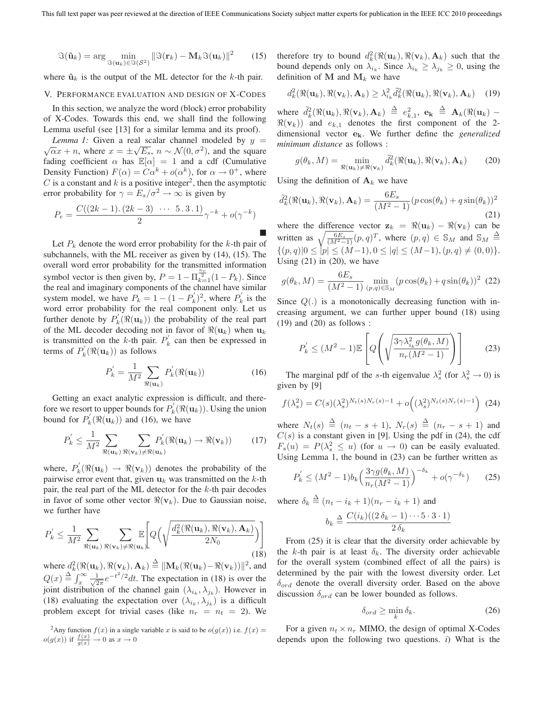$$
\Im(\hat{\mathbf{u}}_k) = \arg\min_{\Im(\mathbf{u}_k) \in \Im(\mathcal{S}^2)} \|\Im(\mathbf{r}_k) - \mathbf{M}_k \Im(\mathbf{u}_k)\|^2 \qquad (15)
$$

where  $\hat{\mathbf{u}}_k$  is the output of the ML detector for the  $k$ -th pair.

## V. PERFORMANCE EVALUATION AND DESIGN OF X-CODES

In this section, we analyze the word (block) error probability of X-Codes. Towards this end, we shall find the following Lemma useful (see [13] for a similar lemma and its proof).

*Lemma 1:* Given a real scalar channel modeled by  $y = \sqrt{\alpha}x + n$ , where  $x = \pm\sqrt{E_s}$ ,  $n \sim \mathcal{N}(0, \sigma^2)$ , and the square fading coefficient  $\alpha$  has  $\mathbb{E}[\alpha]=1$  and a cdf (Cumulative Density Function)  $F(\alpha) = C\alpha^{k} + o(\alpha^{k})$ , for  $\alpha \to 0^{+}$ , where C is a constant and  $k$  is a positive integer<sup>2</sup>, then the asymptotic error probability for  $\gamma = E_s/\sigma^2 \rightarrow \infty$  is given by

$$
P_e = \frac{C((2k-1)\cdot(2k-3)\cdot\cdots\cdot 5\cdot 3\cdot 1)}{2}\gamma^{-k} + o(\gamma^{-k})
$$

-Let  $P_k$  denote the word error probability for the k-th pair of subchannels, with the ML receiver as given by (14), (15). The overall word error probability for the transmitted information symbol vector is then given by,  $P = 1 - \prod_{k=1}^{\frac{n_r}{2}} (1 - P_k)$ . Since the real and imaginary components of the channel have similar system model, we have  $P_k = 1 - (1 - P'_k)^2$ , where  $P'_k$  is the word error probability for the real component only Let us word error probability for the real component only. Let us further denote by  $P'_k(\Re(u_k))$  the probability of the real part<br>of the ML decoder decoding not in favor of  $\Re(u_k)$  when  $u_k$ of the ML decoder decoding not in favor of  $\Re(\mathbf{u}_k)$  when  $\mathbf{u}_k$ is transmitted on the k-th pair.  $P_k$  can then be expressed in terms of  $P'_k(\Re(\mathbf{u}_k))$  as follows

$$
P'_{k} = \frac{1}{M^2} \sum_{\Re(\mathbf{u}_k)} P'_{k}(\Re(\mathbf{u}_k))
$$
 (16)

Getting an exact analytic expression is difficult, and therefore we resort to upper bounds for  $P'_k(\Re(u_k))$ . Using the union<br>bound for  $P'_k(\Re(u_k))$  and (16) we have bound for  $P'_k(\Re(\mathbf{u}_k))$  and (16), we have

$$
P'_{k} \leq \frac{1}{M^2} \sum_{\Re(\mathbf{u}_{k})} \sum_{\Re(\mathbf{v}_{k}) \neq \Re(\mathbf{u}_{k})} P'_{k}(\Re(\mathbf{u}_{k}) \to \Re(\mathbf{v}_{k})) \tag{17}
$$

where,  $P'_k(\Re(u_k) \to \Re(v_k))$  denotes the probability of the pairwise error event that given  $u_k$  was transmitted on the k-th pairwise error event that, given  $\mathbf{u}_k$  was transmitted on the k-th pair, the real part of the ML detector for the  $k$ -th pair decodes in favor of some other vector  $\Re(v_k)$ . Due to Gaussian noise, we further have

$$
P_{k}^{'} \leq \frac{1}{M^{2}} \sum_{\Re(\mathbf{u}_{k})} \sum_{\Re(\mathbf{v}_{k}) \neq \Re(\mathbf{u}_{k})} \mathbb{E}\left[Q\left(\sqrt{\frac{d_{k}^{2}(\Re(\mathbf{u}_{k}), \Re(\mathbf{v}_{k}), \mathbf{A}_{k})}{2N_{0}}}\right)\right]
$$
(18)

where  $d_k^2(\Re(\mathbf{u}_k), \Re(\mathbf{v}_k), \mathbf{A}_k) \stackrel{\Delta}{=} ||\mathbf{M}_k(\Re(\mathbf{u}_k) - \Re(\mathbf{v}_k))||^2$ , and  $Q(x) \triangleq \int_x^{\infty} \frac{1}{\sqrt{2\pi}} e^{-t^2/2} dt$ . The expectation in (18) is over the initial distribution of the channel gain () joint distribution of the channel gain  $(\lambda_{i_k}, \lambda_{j_k})$ . However in (18) evaluating the expectation over  $(\lambda_{i_k}, \lambda_{i_k})$  is a difficult problem except for trivial cases (like  $n_r = n_t = 2$ ). We

<sup>2</sup>Any function  $f(x)$  in a single variable *x* is said to be  $o(g(x))$  i.e.  $f(x) = o(g(x))$  i.e.  $f(x) = o(g(x))$  $o(g(x))$  if  $\frac{f(x)}{g(x)} \to 0$  as  $x \to 0$ 

therefore try to bound  $d_k^2(\Re(u_k), \Re(v_k), \mathbf{A}_k)$  such that the bound depends only on  $\lambda_{i_k}$ . Since  $\lambda_{i_k} \geq \lambda_{j_k} \geq 0$ , using the definition of **M** and  $M_k$  we have

$$
d_k^2(\Re(\mathbf{u}_k), \Re(\mathbf{v}_k), \mathbf{A}_k) \geq \lambda_{i_k}^2 \tilde{d}_k^2(\Re(\mathbf{u}_k), \Re(\mathbf{v}_k), \mathbf{A}_k)
$$
 (19)

where  $\tilde{d}_k^2(\Re(\mathbf{u}_k), \Re(\mathbf{v}_k), \mathbf{A}_k) \stackrel{\Delta}{=} e_{k,1}^2$ ,  $\mathbf{e}_k \stackrel{\Delta}{=} \mathbf{A}_k(\Re(\mathbf{u}_k) - \Re(\mathbf{v}_k))$  and  $e_k$ , denotes the first component of the 2- $\Re(v_k)$ ) and  $e_{k,1}$  denotes the first component of the 2dimensional vector **ek**. We further define the *generalized minimum distance* as follows :

$$
g(\theta_k, M) = \min_{\Re(\mathbf{u}_k) \neq \Re(\mathbf{v}_k)} \tilde{d}_k^2(\Re(\mathbf{u}_k), \Re(\mathbf{v}_k), \mathbf{A}_k)
$$
(20)

Using the definition of  $A_k$  we have

$$
\tilde{d}_k^2(\Re(\mathbf{u}_k), \Re(\mathbf{v}_k), \mathbf{A}_k) = \frac{6E_s}{(M^2 - 1)} (p \cos(\theta_k) + q \sin(\theta_k))^2
$$
\n(21)

where the difference vector  $z_k = \Re(u_k) - \Re(v_k)$  can be written as  $\sqrt{\frac{6E_s}{(M-1)(p,q)^T}}$ , where  $(p,q) \in S_M$  and  $S_M \triangleq$  $\{(p,q)|0 \leq |p| \leq (M-1), 0 \leq |q| \leq (M-1), (p,q) \neq (0, 0)\}.$ <br>
Heing (21) in (20), we have Using  $(21)$  in  $(20)$ , we have

$$
g(\theta_k, M) = \frac{6E_s}{(M^2 - 1)} \min_{(p,q) \in \mathbb{S}_M} (p \cos(\theta_k) + q \sin(\theta_k))^2
$$
 (22)

Since  $Q(.)$  is a monotonically decreasing function with increasing argument, we can further upper bound (18) using  $(19)$  and  $(20)$  as follows :

$$
P'_{k} \leq (M^{2} - 1)\mathbb{E}\left[Q\left(\sqrt{\frac{3\gamma\lambda_{i_{k}}^{2}g(\theta_{k}, M)}{n_{r}(M^{2} - 1)}}\right)\right]
$$
(23)

The marginal pdf of the *s*-th eigenvalue  $\lambda_s^2$  (for  $\lambda_s^2 \to 0$ ) is  $\lambda_s^2$  (or  $\lambda_s^2 \to 0$ ) given by [9]

$$
f(\lambda_s^2) = C(s)(\lambda_s^2)^{N_t(s)N_r(s)-1} + o((\lambda_s^2)^{N_t(s)N_r(s)-1}) \tag{24}
$$

where  $N_t(s) \stackrel{\Delta}{=} (n_t - s + 1)$ ,  $N_r(s) \stackrel{\Delta}{=} (n_r - s + 1)$  and  $C(s)$  is a constant given in [9]. Using the ndf in (24) the cdf  $C(s)$  is a constant given in [9]. Using the pdf in (24), the cdf  $F_s(u) = P(\lambda_s^2 \le u)$  (for  $u \to 0$ ) can be easily evaluated.<br>Using Lemma 1, the bound in (23) can be further written as Using Lemma 1, the bound in (23) can be further written as

$$
P'_{k} \le (M^{2} - 1)b_{k} \left(\frac{3\gamma g(\theta_{k}, M)}{n_{r}(M^{2} - 1)}\right)^{-\delta_{k}} + o(\gamma^{-\delta_{k}})
$$
 (25)

where  $\delta_k \stackrel{\Delta}{=} (n_t - i_k + 1)(n_r - i_k + 1)$  and

$$
b_k \triangleq \frac{C(i_k)((2\,\delta_k-1)\cdots 5\cdot 3\cdot 1)}{2\,\delta_k}
$$

From (25) it is clear that the diversity order achievable by the k-th pair is at least  $\delta_k$ . The diversity order achievable for the overall system (combined effect of all the pairs) is determined by the pair with the lowest diversity order. Let  $\delta_{ord}$  denote the overall diversity order. Based on the above discussion  $\delta_{ord}$  can be lower bounded as follows.

$$
\delta_{ord} \ge \min_{k} \delta_k. \tag{26}
$$

For a given  $n_t \times n_r$  MIMO, the design of optimal X-Codes depends upon the following two questions. *i*) What is the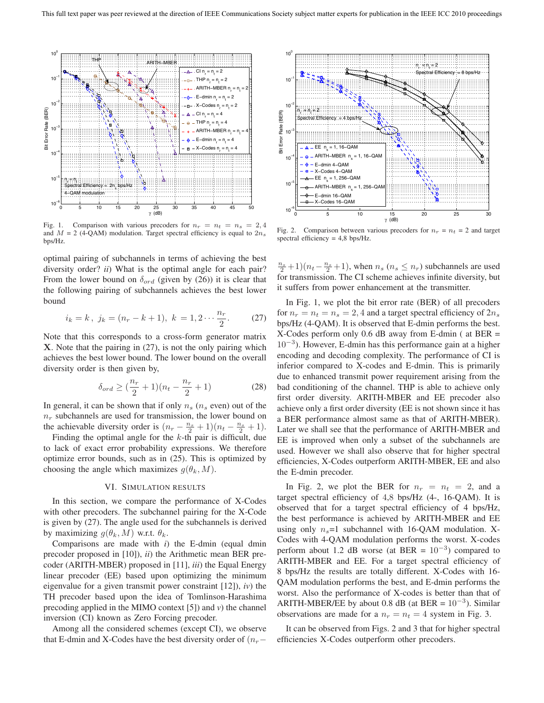

Fig. 1. Comparison with various precoders for  $n_r = n_t = n_s = 2, 4$ and  $M = 2$  (4-QAM) modulation. Target spectral efficiency is equal to  $2n<sub>s</sub>$ bps/Hz.

optimal pairing of subchannels in terms of achieving the best diversity order? *ii*) What is the optimal angle for each pair? From the lower bound on  $\delta_{ord}$  (given by (26)) it is clear that the following pairing of subchannels achieves the best lower bound

$$
i_k = k, \ j_k = (n_r - k + 1), \ k = 1, 2 \cdots \frac{n_r}{2}.
$$
 (27)  
Note that this corresponds to a cross-form generator matrix

**X**. Note that the pairing in (27), is not the only pairing which achieves the best lower bound. The lower bound on the overall diversity order is then given by,

$$
\delta_{ord} \ge (\frac{n_r}{2} + 1)(n_t - \frac{n_r}{2} + 1)
$$
 (28)  
In general, it can be shown that if only  $n_s$  ( $n_s$  even) out of the

 $n_r$  subchannels are used for transmission, the lower bound on the achievable diversity order is  $(n_r - \frac{n_s}{2} + 1)(n_t - \frac{n_s}{2} + 1)$ .<br>Finding the optimal angle for the *k*-th pair is difficult due

Finding the optimal angle for the  $k$ -th pair is difficult, due to lack of exact error probability expressions. We therefore optimize error bounds, such as in (25). This is optimized by choosing the angle which maximizes  $g(\theta_k, M)$ .

# VI. SIMULATION RESULTS

In this section, we compare the performance of X-Codes with other precoders. The subchannel pairing for the X-Code is given by (27). The angle used for the subchannels is derived by maximizing  $g(\theta_k, M)$  w.r.t.  $\theta_k$ .

Comparisons are made with *i*) the E-dmin (equal dmin precoder proposed in [10]), *ii*) the Arithmetic mean BER precoder (ARITH-MBER) proposed in [11], *iii*) the Equal Energy linear precoder (EE) based upon optimizing the minimum eigenvalue for a given transmit power constraint [12]), *iv*) the TH precoder based upon the idea of Tomlinson-Harashima precoding applied in the MIMO context [5]) and *v*) the channel inversion (CI) known as Zero Forcing precoder.

Among all the considered schemes (except CI), we observe that E-dmin and X-Codes have the best diversity order of  $(n_r-$ 



Fig. 2. Comparison between various precoders for  $n_r = n_t = 2$  and target spectral efficiency = 4,8 bps/Hz.

 $\frac{n_s}{2}$  +1)( $n_t - \frac{n_s}{2}$  +1), when  $n_s$  ( $n_s \le n_r$ ) subchannels are used<br>for transmission. The CI scheme achieves infinite diversity but for transmission. The CI scheme achieves infinite diversity, but it suffers from power enhancement at the transmitter.

In Fig. 1, we plot the bit error rate (BER) of all precoders for  $n_r = n_t = n_s = 2, 4$  and a target spectral efficiency of  $2n_s$ bps/Hz (4-QAM). It is observed that E-dmin performs the best. X-Codes perform only 0.6 dB away from E-dmin ( at BER =  $10^{-3}$ ). However, E-dmin has this performance gain at a higher encoding and decoding complexity. The performance of CI is inferior compared to X-codes and E-dmin. This is primarily due to enhanced transmit power requirement arising from the bad conditioning of the channel. THP is able to achieve only first order diversity. ARITH-MBER and EE precoder also achieve only a first order diversity (EE is not shown since it has a BER performance almost same as that of ARITH-MBER). Later we shall see that the performance of ARITH-MBER and EE is improved when only a subset of the subchannels are used. However we shall also observe that for higher spectral efficiencies, X-Codes outperform ARITH-MBER, EE and also the E-dmin precoder.

In Fig. 2, we plot the BER for  $n_r = n_t = 2$ , and a target spectral efficiency of 4,8 bps/Hz (4-, 16-QAM). It is observed that for a target spectral efficiency of 4 bps/Hz, the best performance is achieved by ARITH-MBER and EE using only  $n_s=1$  subchannel with 16-QAM modulation. X-Codes with 4-QAM modulation performs the worst. X-codes perform about 1.2 dB worse (at BER =  $10^{-3}$ ) compared to ARITH-MBER and EE. For a target spectral efficiency of 8 bps/Hz the results are totally different. X-Codes with 16- QAM modulation performs the best, and E-dmin performs the worst. Also the performance of X-codes is better than that of ARITH-MBER/EE by about 0.8 dB (at BER =  $10^{-3}$ ). Similar observations are made for a  $n_r = n_t = 4$  system in Fig. 3.

It can be observed from Figs. 2 and 3 that for higher spectral efficiencies X-Codes outperform other precoders.